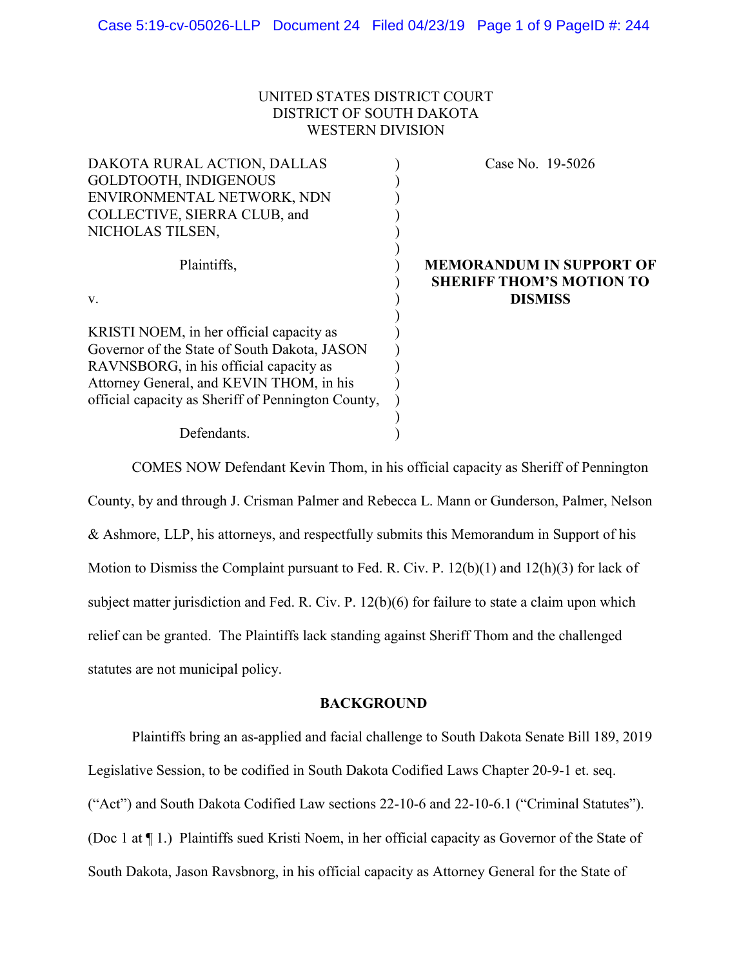## UNITED STATES DISTRICT COURT DISTRICT OF SOUTH DAKOTA WESTERN DIVISION

| DAKOTA RURAL ACTION, DALLAS                        | Case No. 19-5026                                                   |
|----------------------------------------------------|--------------------------------------------------------------------|
| <b>GOLDTOOTH, INDIGENOUS</b>                       |                                                                    |
| ENVIRONMENTAL NETWORK, NDN                         |                                                                    |
| COLLECTIVE, SIERRA CLUB, and                       |                                                                    |
| NICHOLAS TILSEN,                                   |                                                                    |
| Plaintiffs,                                        | <b>MEMORANDUM IN SUPPORT OF</b><br><b>SHERIFF THOM'S MOTION TO</b> |
| V.                                                 | <b>DISMISS</b>                                                     |
| KRISTI NOEM, in her official capacity as           |                                                                    |
| Governor of the State of South Dakota, JASON       |                                                                    |
| RAVNSBORG, in his official capacity as             |                                                                    |
| Attorney General, and KEVIN THOM, in his           |                                                                    |
| official capacity as Sheriff of Pennington County, |                                                                    |
| Defendants.                                        |                                                                    |
|                                                    |                                                                    |

COMES NOW Defendant Kevin Thom, in his official capacity as Sheriff of Pennington County, by and through J. Crisman Palmer and Rebecca L. Mann or Gunderson, Palmer, Nelson & Ashmore, LLP, his attorneys, and respectfully submits this Memorandum in Support of his Motion to Dismiss the Complaint pursuant to Fed. R. Civ. P. 12(b)(1) and 12(h)(3) for lack of subject matter jurisdiction and Fed. R. Civ. P. 12(b)(6) for failure to state a claim upon which relief can be granted. The Plaintiffs lack standing against Sheriff Thom and the challenged statutes are not municipal policy.

#### **BACKGROUND**

Plaintiffs bring an as-applied and facial challenge to South Dakota Senate Bill 189, 2019 Legislative Session, to be codified in South Dakota Codified Laws Chapter 20-9-1 et. seq. ("Act") and South Dakota Codified Law sections 22-10-6 and 22-10-6.1 ("Criminal Statutes"). (Doc 1 at ¶ 1.) Plaintiffs sued Kristi Noem, in her official capacity as Governor of the State of South Dakota, Jason Ravsbnorg, in his official capacity as Attorney General for the State of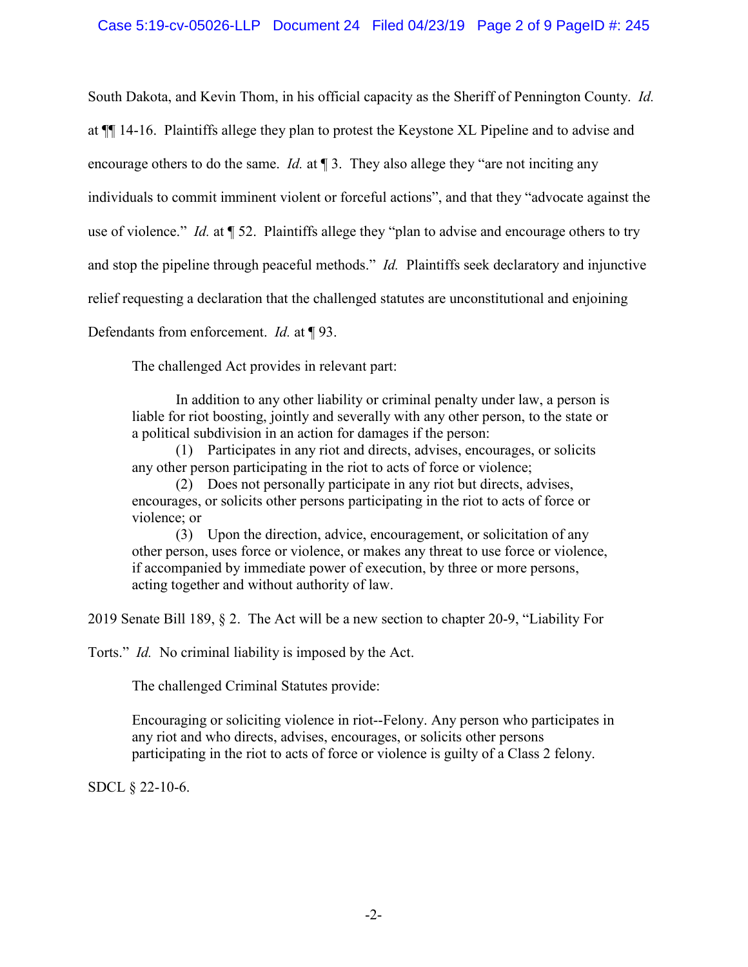South Dakota, and Kevin Thom, in his official capacity as the Sheriff of Pennington County. *Id.* at ¶¶ 14-16. Plaintiffs allege they plan to protest the Keystone XL Pipeline and to advise and encourage others to do the same. *Id.* at 13. They also allege they "are not inciting any individuals to commit imminent violent or forceful actions", and that they "advocate against the use of violence." *Id.* at ¶ 52. Plaintiffs allege they "plan to advise and encourage others to try and stop the pipeline through peaceful methods." *Id.* Plaintiffs seek declaratory and injunctive relief requesting a declaration that the challenged statutes are unconstitutional and enjoining

Defendants from enforcement. *Id.* at ¶ 93.

The challenged Act provides in relevant part:

In addition to any other liability or criminal penalty under law, a person is liable for riot boosting, jointly and severally with any other person, to the state or a political subdivision in an action for damages if the person:

 (1) Participates in any riot and directs, advises, encourages, or solicits any other person participating in the riot to acts of force or violence;

 (2) Does not personally participate in any riot but directs, advises, encourages, or solicits other persons participating in the riot to acts of force or violence; or

 (3) Upon the direction, advice, encouragement, or solicitation of any other person, uses force or violence, or makes any threat to use force or violence, if accompanied by immediate power of execution, by three or more persons, acting together and without authority of law.

2019 Senate Bill 189, § 2. The Act will be a new section to chapter 20-9, "Liability For

Torts." *Id.* No criminal liability is imposed by the Act.

The challenged Criminal Statutes provide:

Encouraging or soliciting violence in riot--Felony. Any person who participates in any riot and who directs, advises, encourages, or solicits other persons participating in the riot to acts of force or violence is guilty of a Class 2 felony.

SDCL § 22-10-6.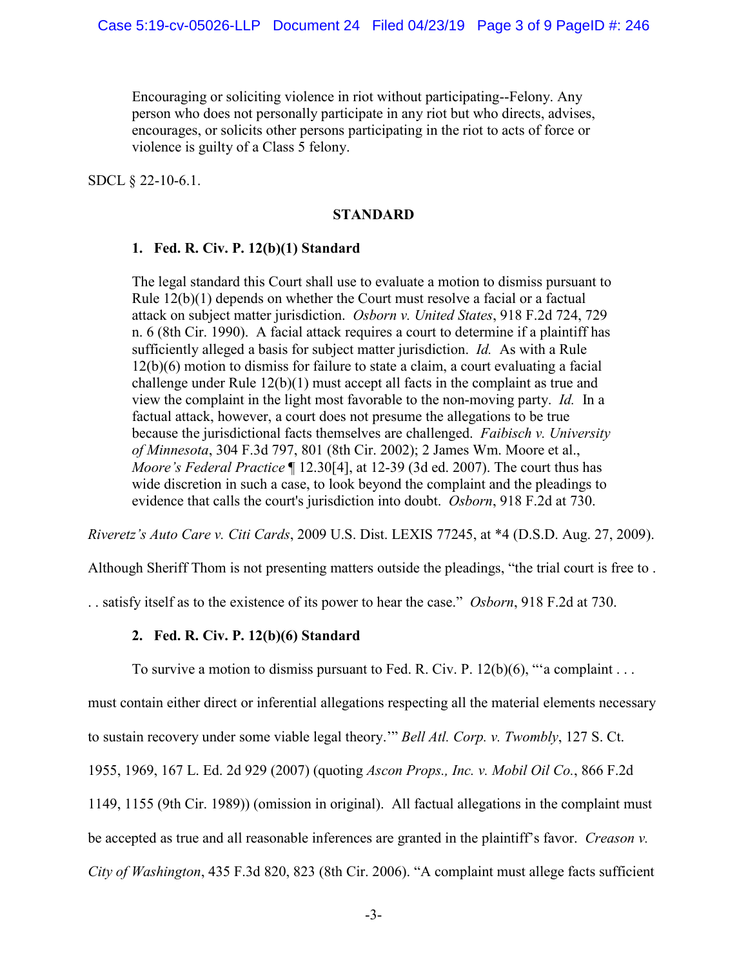Encouraging or soliciting violence in riot without participating--Felony. Any person who does not personally participate in any riot but who directs, advises, encourages, or solicits other persons participating in the riot to acts of force or violence is guilty of a Class 5 felony.

SDCL § 22-10-6.1.

#### **STANDARD**

# **1. Fed. R. Civ. P. 12(b)(1) Standard**

The legal standard this Court shall use to evaluate a motion to dismiss pursuant to Rule 12(b)(1) depends on whether the Court must resolve a facial or a factual attack on subject matter jurisdiction. *Osborn v. United States*, 918 F.2d 724, 729 n. 6 (8th Cir. 1990). A facial attack requires a court to determine if a plaintiff has sufficiently alleged a basis for subject matter jurisdiction. *Id.* As with a Rule 12(b)(6) motion to dismiss for failure to state a claim, a court evaluating a facial challenge under Rule 12(b)(1) must accept all facts in the complaint as true and view the complaint in the light most favorable to the non-moving party. *Id.* In a factual attack, however, a court does not presume the allegations to be true because the jurisdictional facts themselves are challenged. *Faibisch v. University of Minnesota*, 304 F.3d 797, 801 (8th Cir. 2002); 2 James Wm. Moore et al., *Moore's Federal Practice* ¶ 12.30[4], at 12-39 (3d ed. 2007). The court thus has wide discretion in such a case, to look beyond the complaint and the pleadings to evidence that calls the court's jurisdiction into doubt. *Osborn*, 918 F.2d at 730.

*Riveretz's Auto Care v. Citi Cards*, 2009 U.S. Dist. LEXIS 77245, at \*4 (D.S.D. Aug. 27, 2009).

Although Sheriff Thom is not presenting matters outside the pleadings, "the trial court is free to .

. . satisfy itself as to the existence of its power to hear the case." *Osborn*, 918 F.2d at 730.

# **2. Fed. R. Civ. P. 12(b)(6) Standard**

To survive a motion to dismiss pursuant to Fed. R. Civ. P. 12(b)(6), "'a complaint . . .

must contain either direct or inferential allegations respecting all the material elements necessary

to sustain recovery under some viable legal theory.'" *Bell Atl. Corp. v. Twombly*, 127 S. Ct.

1955, 1969, 167 L. Ed. 2d 929 (2007) (quoting *Ascon Props., Inc. v. Mobil Oil Co.*, 866 F.2d

1149, 1155 (9th Cir. 1989)) (omission in original). All factual allegations in the complaint must

be accepted as true and all reasonable inferences are granted in the plaintiff's favor. *Creason v.* 

*City of Washington*, 435 F.3d 820, 823 (8th Cir. 2006). "A complaint must allege facts sufficient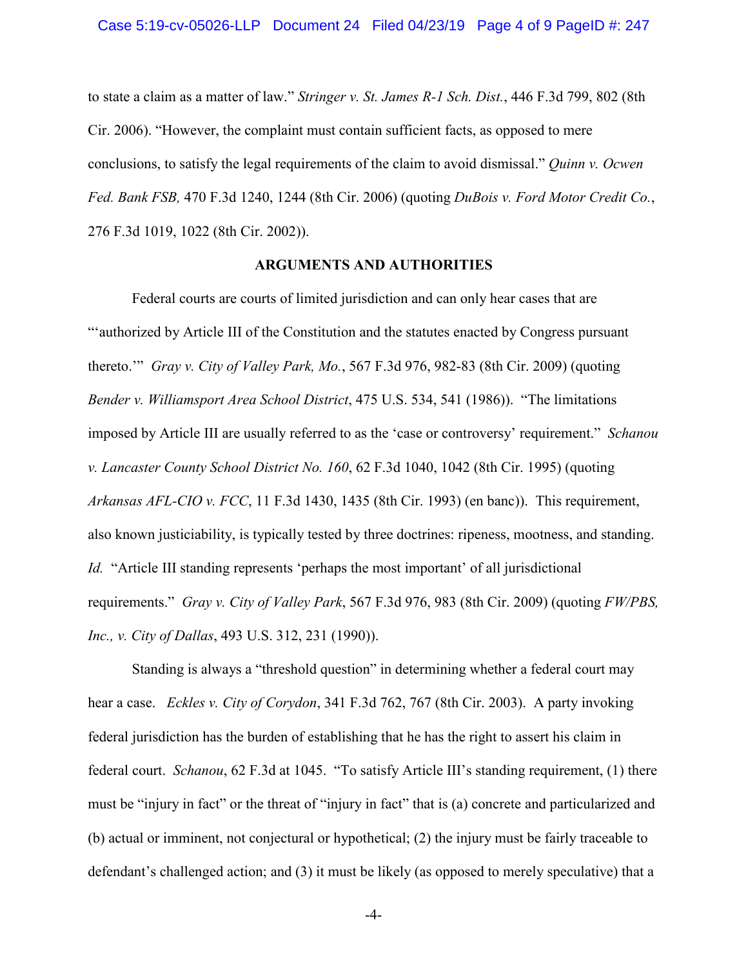to state a claim as a matter of law." *Stringer v. St. James R-1 Sch. Dist.*, 446 F.3d 799, 802 (8th Cir. 2006). "However, the complaint must contain sufficient facts, as opposed to mere conclusions, to satisfy the legal requirements of the claim to avoid dismissal." *Quinn v. Ocwen Fed. Bank FSB,* 470 F.3d 1240, 1244 (8th Cir. 2006) (quoting *DuBois v. Ford Motor Credit Co.*, 276 F.3d 1019, 1022 (8th Cir. 2002)).

#### **ARGUMENTS AND AUTHORITIES**

Federal courts are courts of limited jurisdiction and can only hear cases that are "'authorized by Article III of the Constitution and the statutes enacted by Congress pursuant thereto.'" *Gray v. City of Valley Park, Mo.*, 567 F.3d 976, 982-83 (8th Cir. 2009) (quoting *Bender v. Williamsport Area School District*, 475 U.S. 534, 541 (1986)). "The limitations imposed by Article III are usually referred to as the 'case or controversy' requirement." *Schanou v. Lancaster County School District No. 160*, 62 F.3d 1040, 1042 (8th Cir. 1995) (quoting *Arkansas AFL-CIO v. FCC*, 11 F.3d 1430, 1435 (8th Cir. 1993) (en banc)). This requirement, also known justiciability, is typically tested by three doctrines: ripeness, mootness, and standing. *Id.* "Article III standing represents 'perhaps the most important' of all jurisdictional requirements." *Gray v. City of Valley Park*, 567 F.3d 976, 983 (8th Cir. 2009) (quoting *FW/PBS, Inc., v. City of Dallas*, 493 U.S. 312, 231 (1990)).

Standing is always a "threshold question" in determining whether a federal court may hear a case. *Eckles v. City of Corydon*, 341 F.3d 762, 767 (8th Cir. 2003). A party invoking federal jurisdiction has the burden of establishing that he has the right to assert his claim in federal court. *Schanou*, 62 F.3d at 1045. "To satisfy Article III's standing requirement, (1) there must be "injury in fact" or the threat of "injury in fact" that is (a) concrete and particularized and (b) actual or imminent, not conjectural or hypothetical; (2) the injury must be fairly traceable to defendant's challenged action; and (3) it must be likely (as opposed to merely speculative) that a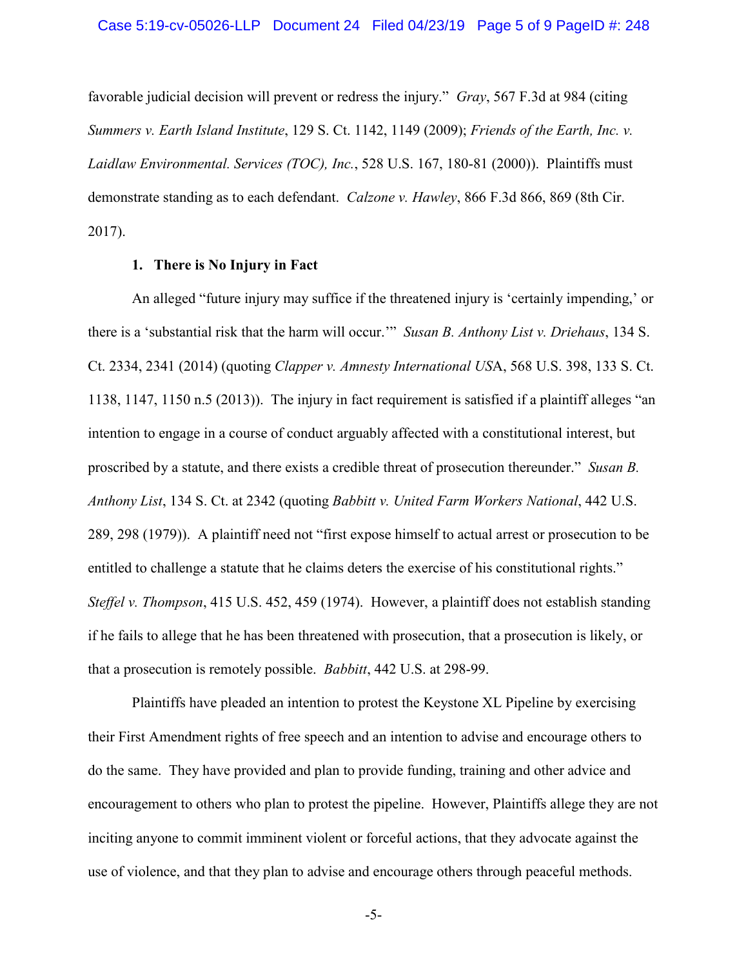favorable judicial decision will prevent or redress the injury." *Gray*, 567 F.3d at 984 (citing *Summers v. Earth Island Institute*, 129 S. Ct. 1142, 1149 (2009); *Friends of the Earth, Inc. v. Laidlaw Environmental. Services (TOC), Inc.*, 528 U.S. 167, 180-81 (2000)). Plaintiffs must demonstrate standing as to each defendant. *Calzone v. Hawley*, 866 F.3d 866, 869 (8th Cir. 2017).

# **1. There is No Injury in Fact**

An alleged "future injury may suffice if the threatened injury is 'certainly impending,' or there is a 'substantial risk that the harm will occur.'" *Susan B. Anthony List v. Driehaus*, 134 S. Ct. 2334, 2341 (2014) (quoting *Clapper v. Amnesty International US*A, 568 U.S. 398, 133 S. Ct. 1138, 1147, 1150 n.5 (2013)). The injury in fact requirement is satisfied if a plaintiff alleges "an intention to engage in a course of conduct arguably affected with a constitutional interest, but proscribed by a statute, and there exists a credible threat of prosecution thereunder." *Susan B. Anthony List*, 134 S. Ct. at 2342 (quoting *Babbitt v. United Farm Workers National*, 442 U.S. 289, 298 (1979)). A plaintiff need not "first expose himself to actual arrest or prosecution to be entitled to challenge a statute that he claims deters the exercise of his constitutional rights." *Steffel v. Thompson*, 415 U.S. 452, 459 (1974). However, a plaintiff does not establish standing if he fails to allege that he has been threatened with prosecution, that a prosecution is likely, or that a prosecution is remotely possible. *Babbitt*, 442 U.S. at 298-99.

Plaintiffs have pleaded an intention to protest the Keystone XL Pipeline by exercising their First Amendment rights of free speech and an intention to advise and encourage others to do the same. They have provided and plan to provide funding, training and other advice and encouragement to others who plan to protest the pipeline. However, Plaintiffs allege they are not inciting anyone to commit imminent violent or forceful actions, that they advocate against the use of violence, and that they plan to advise and encourage others through peaceful methods.

-5-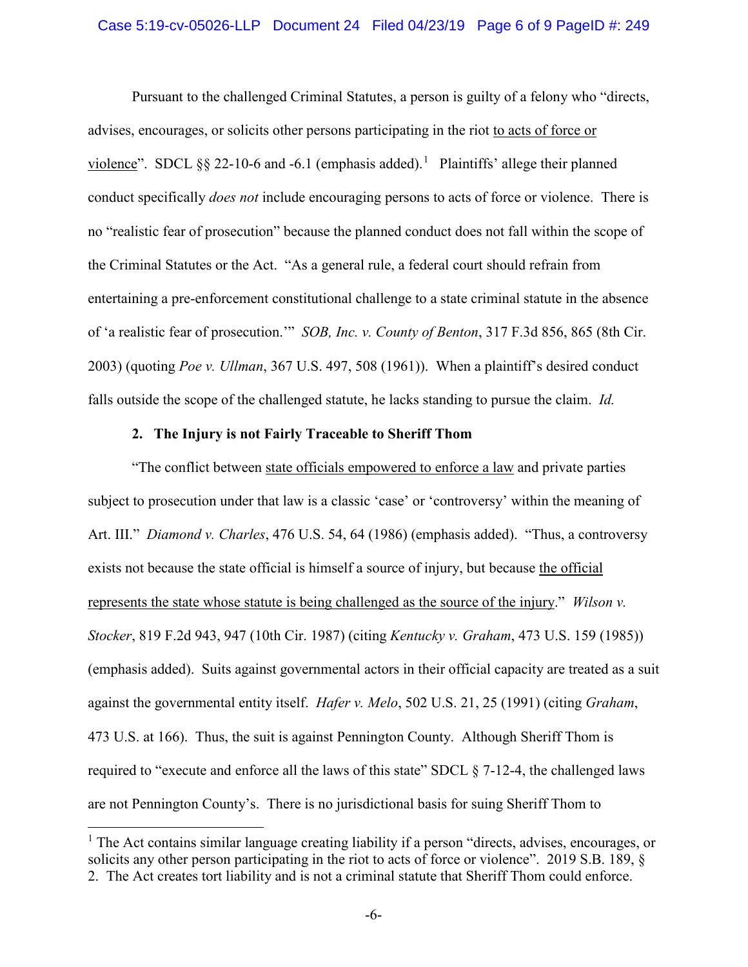#### Case 5:19-cv-05026-LLP Document 24 Filed 04/23/19 Page 6 of 9 PageID #: 249

Pursuant to the challenged Criminal Statutes, a person is guilty of a felony who "directs, advises, encourages, or solicits other persons participating in the riot to acts of force or violence". SDCL  $\S$ § 22-[1](#page-5-0)0-6 and -6.1 (emphasis added).<sup>1</sup> Plaintiffs' allege their planned conduct specifically *does not* include encouraging persons to acts of force or violence. There is no "realistic fear of prosecution" because the planned conduct does not fall within the scope of the Criminal Statutes or the Act. "As a general rule, a federal court should refrain from entertaining a pre-enforcement constitutional challenge to a state criminal statute in the absence of 'a realistic fear of prosecution.'" *SOB, Inc. v. County of Benton*, 317 F.3d 856, 865 (8th Cir. 2003) (quoting *Poe v. Ullman*, 367 U.S. 497, 508 (1961)). When a plaintiff's desired conduct falls outside the scope of the challenged statute, he lacks standing to pursue the claim. *Id.*

## **2. The Injury is not Fairly Traceable to Sheriff Thom**

"The conflict between state officials empowered to enforce a law and private parties subject to prosecution under that law is a classic 'case' or 'controversy' within the meaning of Art. III." *Diamond v. Charles*, 476 U.S. 54, 64 (1986) (emphasis added). "Thus, a controversy exists not because the state official is himself a source of injury, but because the official represents the state whose statute is being challenged as the source of the injury." *Wilson v. Stocker*, 819 F.2d 943, 947 (10th Cir. 1987) (citing *Kentucky v. Graham*, 473 U.S. 159 (1985)) (emphasis added). Suits against governmental actors in their official capacity are treated as a suit against the governmental entity itself. *Hafer v. Melo*, 502 U.S. 21, 25 (1991) (citing *Graham*, 473 U.S. at 166). Thus, the suit is against Pennington County. Although Sheriff Thom is required to "execute and enforce all the laws of this state" SDCL § 7-12-4, the challenged laws are not Pennington County's. There is no jurisdictional basis for suing Sheriff Thom to

<span id="page-5-0"></span><sup>&</sup>lt;sup>1</sup> The Act contains similar language creating liability if a person "directs, advises, encourages, or solicits any other person participating in the riot to acts of force or violence". 2019 S.B. 189,  $\S$ 2. The Act creates tort liability and is not a criminal statute that Sheriff Thom could enforce.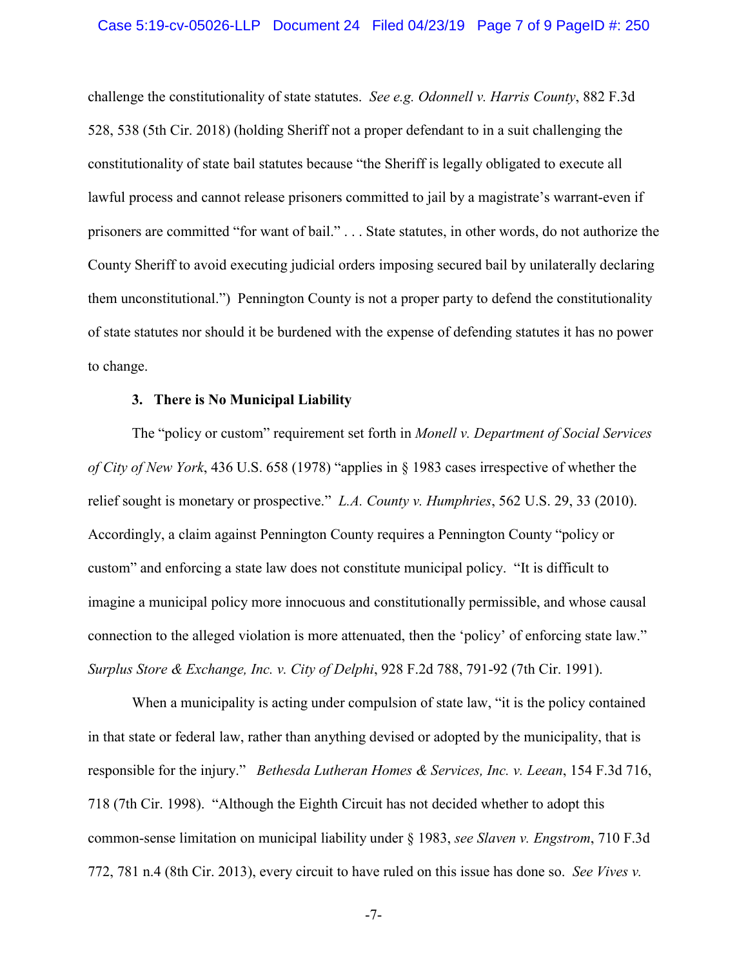challenge the constitutionality of state statutes. *See e.g. Odonnell v. Harris County*, 882 F.3d 528, 538 (5th Cir. 2018) (holding Sheriff not a proper defendant to in a suit challenging the constitutionality of state bail statutes because "the Sheriff is legally obligated to execute all lawful process and cannot release prisoners committed to jail by a magistrate's warrant-even if prisoners are committed "for want of bail." . . . State statutes, in other words, do not authorize the County Sheriff to avoid executing judicial orders imposing secured bail by unilaterally declaring them unconstitutional.") Pennington County is not a proper party to defend the constitutionality of state statutes nor should it be burdened with the expense of defending statutes it has no power to change.

#### **3. There is No Municipal Liability**

The "policy or custom" requirement set forth in *Monell v. Department of Social Services of City of New York*, 436 U.S. 658 (1978) "applies in § 1983 cases irrespective of whether the relief sought is monetary or prospective." *L.A. County v. Humphries*, 562 U.S. 29, 33 (2010). Accordingly, a claim against Pennington County requires a Pennington County "policy or custom" and enforcing a state law does not constitute municipal policy. "It is difficult to imagine a municipal policy more innocuous and constitutionally permissible, and whose causal connection to the alleged violation is more attenuated, then the 'policy' of enforcing state law." *Surplus Store & Exchange, Inc. v. City of Delphi*, 928 F.2d 788, 791-92 (7th Cir. 1991).

When a municipality is acting under compulsion of state law, "it is the policy contained in that state or federal law, rather than anything devised or adopted by the municipality, that is responsible for the injury." *Bethesda Lutheran Homes & Services, Inc. v. Leean*, 154 F.3d 716, 718 (7th Cir. 1998). "Although the Eighth Circuit has not decided whether to adopt this common-sense limitation on municipal liability under § 1983, *see Slaven v. Engstrom*, 710 F.3d 772, 781 n.4 (8th Cir. 2013), every circuit to have ruled on this issue has done so. *See Vives v.*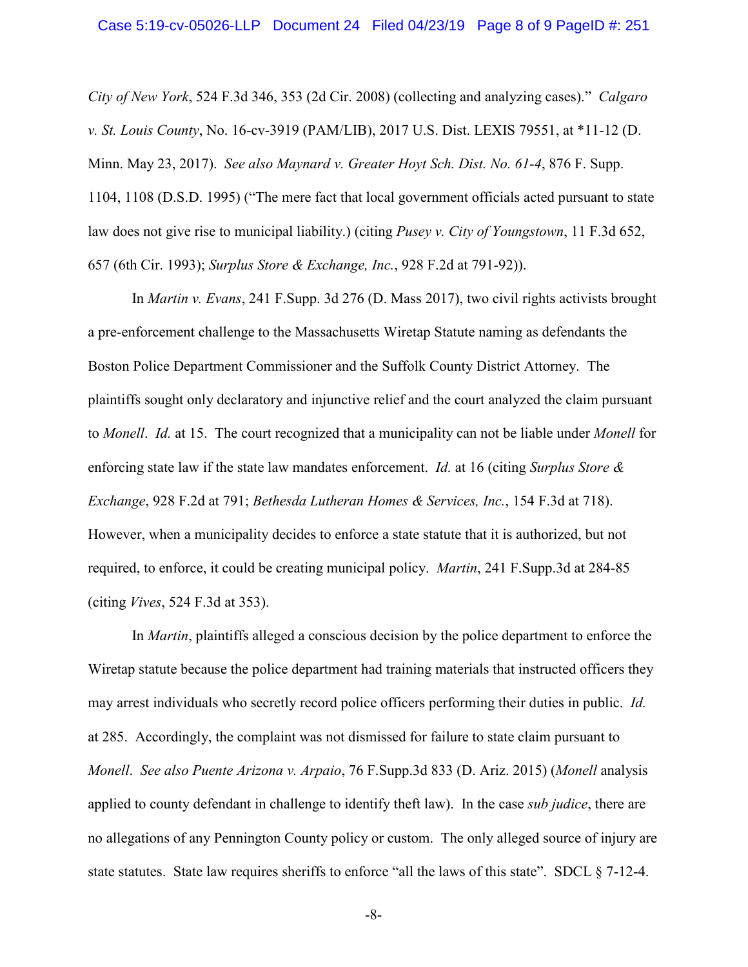*City of New York*, 524 F.3d 346, 353 (2d Cir. 2008) (collecting and analyzing cases)." *Calgaro v. St. Louis County*, No. 16-cv-3919 (PAM/LIB), 2017 U.S. Dist. LEXIS 79551, at \*11-12 (D. Minn. May 23, 2017). *See also Maynard v. Greater Hoyt Sch. Dist. No. 61-4*, 876 F. Supp. 1104, 1108 (D.S.D. 1995) ("The mere fact that local government officials acted pursuant to state law does not give rise to municipal liability.) (citing *Pusey v. City of Youngstown*, 11 F.3d 652, 657 (6th Cir. 1993); *Surplus Store & Exchange, Inc.*, 928 F.2d at 791-92)).

In *Martin v. Evans*, 241 F.Supp. 3d 276 (D. Mass 2017), two civil rights activists brought a pre-enforcement challenge to the Massachusetts Wiretap Statute naming as defendants the Boston Police Department Commissioner and the Suffolk County District Attorney. The plaintiffs sought only declaratory and injunctive relief and the court analyzed the claim pursuant to *Monell*. *Id.* at 15. The court recognized that a municipality can not be liable under *Monell* for enforcing state law if the state law mandates enforcement. *Id.* at 16 (citing *Surplus Store & Exchange*, 928 F.2d at 791; *Bethesda Lutheran Homes & Services, Inc.*, 154 F.3d at 718). However, when a municipality decides to enforce a state statute that it is authorized, but not required, to enforce, it could be creating municipal policy. *Martin*, 241 F.Supp.3d at 284-85 (citing *Vives*, 524 F.3d at 353).

In *Martin*, plaintiffs alleged a conscious decision by the police department to enforce the Wiretap statute because the police department had training materials that instructed officers they may arrest individuals who secretly record police officers performing their duties in public. *Id.* at 285. Accordingly, the complaint was not dismissed for failure to state claim pursuant to *Monell*. *See also Puente Arizona v. Arpaio*, 76 F.Supp.3d 833 (D. Ariz. 2015) (*Monell* analysis applied to county defendant in challenge to identify theft law). In the case *sub judice*, there are no allegations of any Pennington County policy or custom. The only alleged source of injury are state statutes. State law requires sheriffs to enforce "all the laws of this state". SDCL § 7-12-4.

-8-